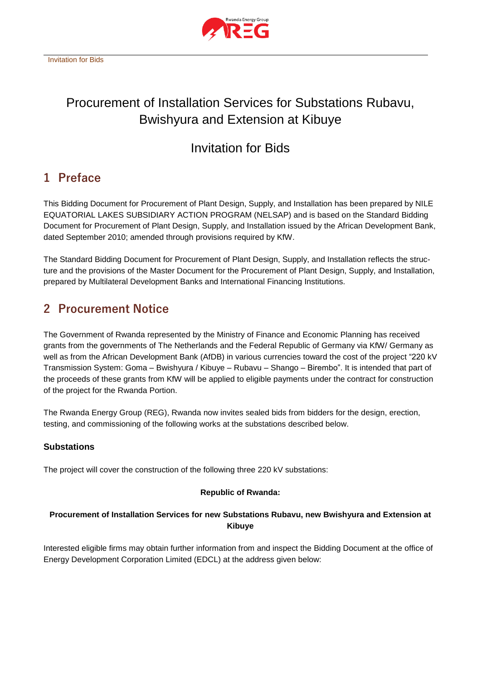

# Procurement of Installation Services for Substations Rubavu, Bwishyura and Extension at Kibuye

# Invitation for Bids

## **1 Preface**

This Bidding Document for Procurement of Plant Design, Supply, and Installation has been prepared by NILE EQUATORIAL LAKES SUBSIDIARY ACTION PROGRAM (NELSAP) and is based on the Standard Bidding Document for Procurement of Plant Design, Supply, and Installation issued by the African Development Bank, dated September 2010; amended through provisions required by KfW.

The Standard Bidding Document for Procurement of Plant Design, Supply, and Installation reflects the structure and the provisions of the Master Document for the Procurement of Plant Design, Supply, and Installation, prepared by Multilateral Development Banks and International Financing Institutions.

## **2 Procurement Notice**

The Government of Rwanda represented by the Ministry of Finance and Economic Planning has received grants from the governments of The Netherlands and the Federal Republic of Germany via KfW/ Germany as well as from the African Development Bank (AfDB) in various currencies toward the cost of the project "220 kV Transmission System: Goma – Bwishyura / Kibuye – Rubavu – Shango – Birembo". It is intended that part of the proceeds of these grants from KfW will be applied to eligible payments under the contract for construction of the project for the Rwanda Portion.

The Rwanda Energy Group (REG), Rwanda now invites sealed bids from bidders for the design, erection, testing, and commissioning of the following works at the substations described below.

## **Substations**

The project will cover the construction of the following three 220 kV substations:

## **Republic of Rwanda:**

## **Procurement of Installation Services for new Substations Rubavu, new Bwishyura and Extension at Kibuye**

Interested eligible firms may obtain further information from and inspect the Bidding Document at the office of Energy Development Corporation Limited (EDCL) at the address given below: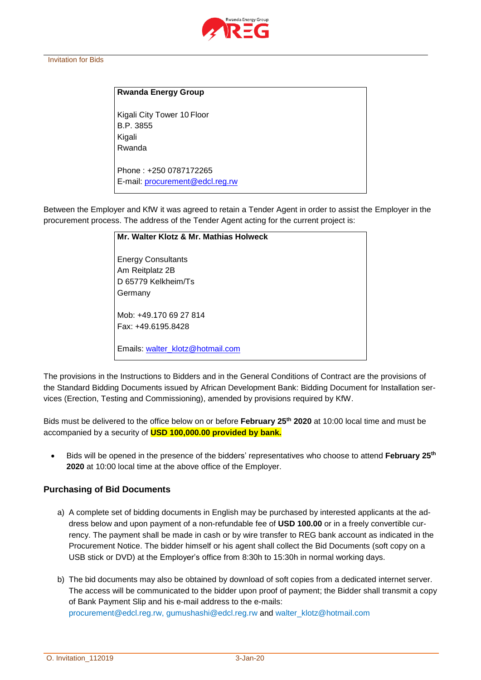

#### Invitation for Bids

#### **Rwanda Energy Group**

Kigali City Tower 10 Floor B.P. 3855 Kigali Rwanda

Phone : +250 0787172265 E-mail: procurement@edcl.reg.rw

Between the Employer and KfW it was agreed to retain a Tender Agent in order to assist the Employer in the procurement process. The address of the Tender Agent acting for the current project is:

| Mr. Walter Klotz & Mr. Mathias Holweck                              |
|---------------------------------------------------------------------|
| <b>Energy Consultants</b><br>Am Reitplatz 2B<br>D 65779 Kelkheim/Ts |
| Germany                                                             |
| Mob: +49.170.69.27.814<br>Fax: +49.6195.8428                        |
| Emails: walter klotz@hotmail.com                                    |

The provisions in the Instructions to Bidders and in the General Conditions of Contract are the provisions of the Standard Bidding Documents issued by African Development Bank: Bidding Document for Installation services (Erection, Testing and Commissioning), amended by provisions required by KfW.

Bids must be delivered to the office below on or before **February 25th 2020** at 10:00 local time and must be accompanied by a security of **USD 100,000.00 provided by bank.**

• Bids will be opened in the presence of the bidders' representatives who choose to attend **February 25th 2020** at 10:00 local time at the above office of the Employer.

#### **Purchasing of Bid Documents**

- a) A complete set of bidding documents in English may be purchased by interested applicants at the address below and upon payment of a non-refundable fee of **USD 100.00** or in a freely convertible currency. The payment shall be made in cash or by wire transfer to REG bank account as indicated in the Procurement Notice. The bidder himself or his agent shall collect the Bid Documents (soft copy on a USB stick or DVD) at the Employer's office from 8:30h to 15:30h in normal working days.
- b) The bid documents may also be obtained by download of soft copies from a dedicated internet server. The access will be communicated to the bidder upon proof of payment; the Bidder shall transmit a copy of Bank Payment Slip and his e-mail address to the e-mails: [procurement@edcl.reg.rw,](mailto:procurement@edcl.reg.rw) [gumushashi@edcl.reg.rw](mailto:mngenganyi@edcl.reg.rw) and [walter\\_klotz@hotmail.com](mailto:walter_klotz@hotmail.com)

O. Invitation\_112019 3-Jan-20